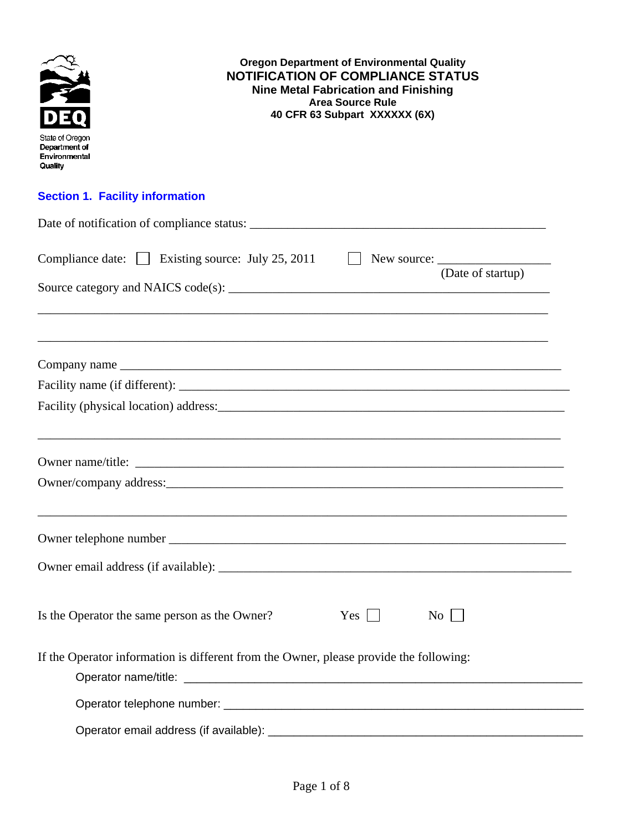| <b>Oregon Department of Environmental Quality</b><br><b>NOTIFICATION OF COMPLIANCE STATUS</b><br><b>Nine Metal Fabrication and Finishing</b><br><b>Area Source Rule</b><br>40 CFR 63 Subpart XXXXXX (6X)<br>State of Oregon<br>Department of<br>Environmental<br>Quality |                   |
|--------------------------------------------------------------------------------------------------------------------------------------------------------------------------------------------------------------------------------------------------------------------------|-------------------|
| <b>Section 1. Facility information</b>                                                                                                                                                                                                                                   |                   |
|                                                                                                                                                                                                                                                                          |                   |
| Compliance date: Existing source: July 25, 2011    U New source: _______________                                                                                                                                                                                         | (Date of startup) |
|                                                                                                                                                                                                                                                                          |                   |
|                                                                                                                                                                                                                                                                          |                   |
|                                                                                                                                                                                                                                                                          |                   |
|                                                                                                                                                                                                                                                                          |                   |
|                                                                                                                                                                                                                                                                          |                   |
|                                                                                                                                                                                                                                                                          |                   |
|                                                                                                                                                                                                                                                                          |                   |
|                                                                                                                                                                                                                                                                          |                   |
| Is the Operator the same person as the Owner?<br>$Yes \mid \mid$                                                                                                                                                                                                         | $\rm{No}$         |
| If the Operator information is different from the Owner, please provide the following:                                                                                                                                                                                   |                   |
|                                                                                                                                                                                                                                                                          |                   |
|                                                                                                                                                                                                                                                                          |                   |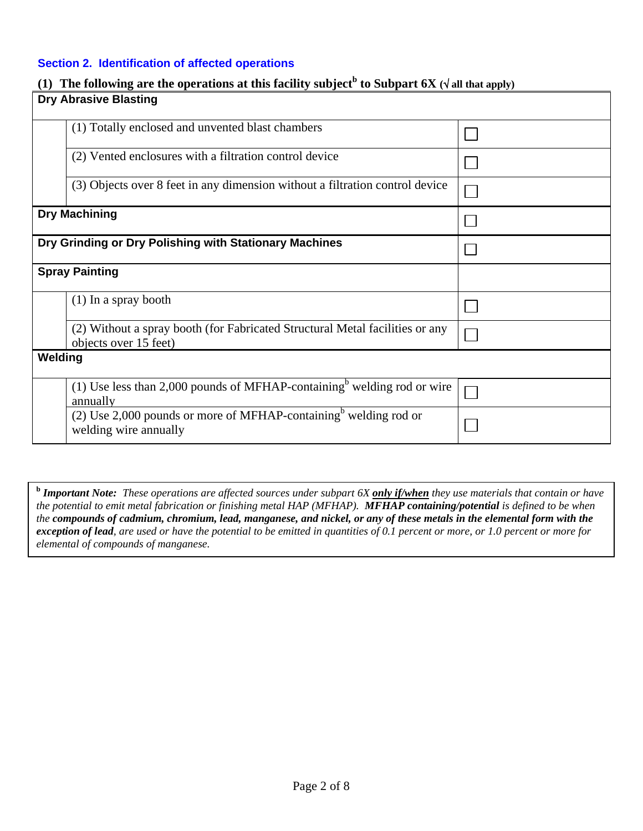| Section 2. Identification of affected operations                                                                              |  |  |  |  |
|-------------------------------------------------------------------------------------------------------------------------------|--|--|--|--|
| The following are the operations at this facility subject <sup>b</sup> to Subpart 6X ( $\sqrt{ }$ all that apply)<br>$\bf(1)$ |  |  |  |  |
| <b>Dry Abrasive Blasting</b>                                                                                                  |  |  |  |  |
| (1) Totally enclosed and unvented blast chambers                                                                              |  |  |  |  |
| (2) Vented enclosures with a filtration control device                                                                        |  |  |  |  |
| (3) Objects over 8 feet in any dimension without a filtration control device                                                  |  |  |  |  |
| <b>Dry Machining</b>                                                                                                          |  |  |  |  |
| Dry Grinding or Dry Polishing with Stationary Machines                                                                        |  |  |  |  |
| <b>Spray Painting</b>                                                                                                         |  |  |  |  |
| $(1)$ In a spray booth                                                                                                        |  |  |  |  |
| (2) Without a spray booth (for Fabricated Structural Metal facilities or any<br>objects over 15 feet)                         |  |  |  |  |
| Welding                                                                                                                       |  |  |  |  |

annually (2) Use 2,000 pounds or more of MFHAP-containing<sup>b</sup> welding rod or  $\Box$ welding wire annually

 $\Box$ 

(1) Use less than 2,000 pounds of MFHAP-containing<sup>b</sup> welding rod or wire

**b** *Important Note: These operations are affected sources under subpart 6X only if/when they use materials that contain or have the potential to emit metal fabrication or finishing metal HAP (MFHAP). MFHAP containing/potential is defined to be when the compounds of cadmium, chromium, lead, manganese, and nickel, or any of these metals in the elemental form with the exception of lead, are used or have the potential to be emitted in quantities of 0.1 percent or more, or 1.0 percent or more for elemental of compounds of manganese.*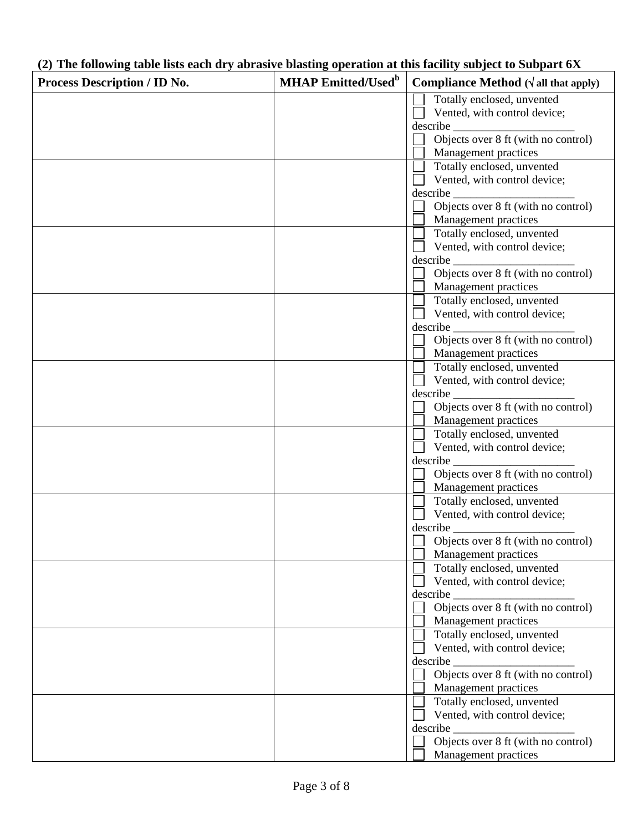| (2) The following table lists each dry abrasive blasting operation at this facility subject to Subpart 6X |  |  |  |  |
|-----------------------------------------------------------------------------------------------------------|--|--|--|--|
|                                                                                                           |  |  |  |  |

٦

| 27 The following table hots each ury abrasive blasting operation at this facinty subject to bubbart 021<br>Process Description / ID No. | <b>MHAP Emitted/Used</b> <sup>b</sup> | Compliance Method $(\sqrt{u}$ all that apply)                                                  |
|-----------------------------------------------------------------------------------------------------------------------------------------|---------------------------------------|------------------------------------------------------------------------------------------------|
|                                                                                                                                         |                                       | Totally enclosed, unvented                                                                     |
|                                                                                                                                         |                                       | Vented, with control device;                                                                   |
|                                                                                                                                         |                                       |                                                                                                |
|                                                                                                                                         |                                       | Objects over 8 ft (with no control)                                                            |
|                                                                                                                                         |                                       | Management practices                                                                           |
|                                                                                                                                         |                                       | Totally enclosed, unvented                                                                     |
|                                                                                                                                         |                                       | Vented, with control device;                                                                   |
|                                                                                                                                         |                                       | $\begin{array}{c}\n\text{describe} \\ \hline\n\end{array}$ Objects over 8 ft (with no control) |
|                                                                                                                                         |                                       |                                                                                                |
|                                                                                                                                         |                                       | Management practices                                                                           |
|                                                                                                                                         |                                       | Totally enclosed, unvented                                                                     |
|                                                                                                                                         |                                       | Vented, with control device;                                                                   |
|                                                                                                                                         |                                       |                                                                                                |
|                                                                                                                                         |                                       | Objects over 8 ft (with no control)                                                            |
|                                                                                                                                         |                                       | Management practices                                                                           |
|                                                                                                                                         |                                       | Totally enclosed, unvented                                                                     |
|                                                                                                                                         |                                       | Vented, with control device;                                                                   |
|                                                                                                                                         |                                       |                                                                                                |
|                                                                                                                                         |                                       | Objects over 8 ft (with no control)                                                            |
|                                                                                                                                         |                                       | Management practices                                                                           |
|                                                                                                                                         |                                       | Totally enclosed, unvented                                                                     |
|                                                                                                                                         |                                       | Vented, with control device;                                                                   |
|                                                                                                                                         |                                       |                                                                                                |
|                                                                                                                                         |                                       | Objects over 8 ft (with no control)                                                            |
|                                                                                                                                         |                                       | Management practices                                                                           |
|                                                                                                                                         |                                       | Totally enclosed, unvented                                                                     |
|                                                                                                                                         |                                       | Vented, with control device;                                                                   |
|                                                                                                                                         |                                       |                                                                                                |
|                                                                                                                                         |                                       | Objects over 8 ft (with no control)                                                            |
|                                                                                                                                         |                                       | Management practices                                                                           |
|                                                                                                                                         |                                       | Totally enclosed, unvented<br>Vented, with control device;                                     |
|                                                                                                                                         |                                       |                                                                                                |
|                                                                                                                                         |                                       | Objects over 8 ft (with no control)                                                            |
|                                                                                                                                         |                                       | Management practices                                                                           |
|                                                                                                                                         |                                       | Totally enclosed, unvented                                                                     |
|                                                                                                                                         |                                       | Vented, with control device;                                                                   |
|                                                                                                                                         |                                       |                                                                                                |
|                                                                                                                                         |                                       | Objects over 8 ft (with no control)                                                            |
|                                                                                                                                         |                                       | Management practices                                                                           |
|                                                                                                                                         |                                       | Totally enclosed, unvented                                                                     |
|                                                                                                                                         |                                       | Vented, with control device;                                                                   |
|                                                                                                                                         |                                       |                                                                                                |
|                                                                                                                                         |                                       | Objects over 8 ft (with no control)                                                            |
|                                                                                                                                         |                                       | Management practices                                                                           |
|                                                                                                                                         |                                       | Totally enclosed, unvented                                                                     |
|                                                                                                                                         |                                       | Vented, with control device;                                                                   |
|                                                                                                                                         |                                       | describe                                                                                       |
|                                                                                                                                         |                                       | Objects over 8 ft (with no control)                                                            |
|                                                                                                                                         |                                       | Management practices                                                                           |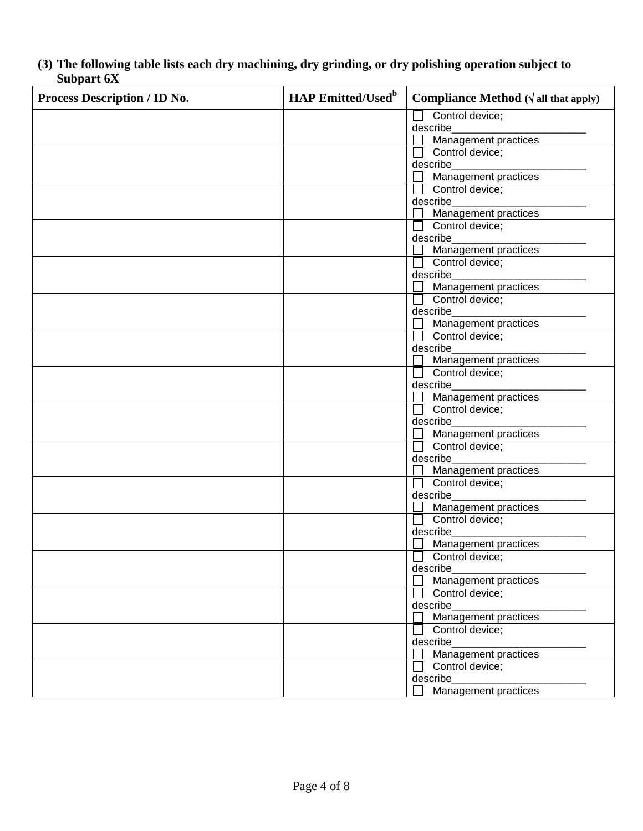**(3) The following table lists each dry machining, dry grinding, or dry polishing operation subject to Subpart 6X**

| <b>Process Description / ID No.</b> | <b>HAP Emitted/Used</b> <sup>b</sup> | <b>Compliance Method</b> $(\sqrt{a}$ ll that apply) |
|-------------------------------------|--------------------------------------|-----------------------------------------------------|
|                                     |                                      | Control device;                                     |
|                                     |                                      | describe                                            |
|                                     |                                      | Management practices                                |
|                                     |                                      | Control device;<br>describe                         |
|                                     |                                      | Management practices                                |
|                                     |                                      | Control device;                                     |
|                                     |                                      | describe                                            |
|                                     |                                      | <b>Management practices</b>                         |
|                                     |                                      | Control device;                                     |
|                                     |                                      | describe                                            |
|                                     |                                      | Management practices                                |
|                                     |                                      | $\Box$ Control device;                              |
|                                     |                                      | describe                                            |
|                                     |                                      | Management practices                                |
|                                     |                                      | $\Box$ Control device;                              |
|                                     |                                      | describe<br>Management practices                    |
|                                     |                                      | $\Box$ Control device;                              |
|                                     |                                      | describe                                            |
|                                     |                                      | Management practices                                |
|                                     |                                      | $\Box$ Control device;                              |
|                                     |                                      | describe                                            |
|                                     |                                      | Management practices                                |
|                                     |                                      | Control device;                                     |
|                                     |                                      | describe                                            |
|                                     |                                      | Management practices                                |
|                                     |                                      | Control device;                                     |
|                                     |                                      | describe                                            |
|                                     |                                      | Management practices<br>Control device;             |
|                                     |                                      | describe                                            |
|                                     |                                      | Management practices                                |
|                                     |                                      | Control device;                                     |
|                                     |                                      | describe                                            |
|                                     |                                      | Management practices                                |
|                                     |                                      | $\Box$ Control device;                              |
|                                     |                                      | describe                                            |
|                                     |                                      | Management practices                                |
|                                     |                                      | Control device;                                     |
|                                     |                                      | describe                                            |
|                                     |                                      | Management practices                                |
|                                     |                                      | Control device;                                     |
|                                     |                                      | describe                                            |
|                                     |                                      | Management practices                                |
|                                     |                                      | Control device;<br>describe                         |
|                                     |                                      | Management practices                                |
|                                     |                                      |                                                     |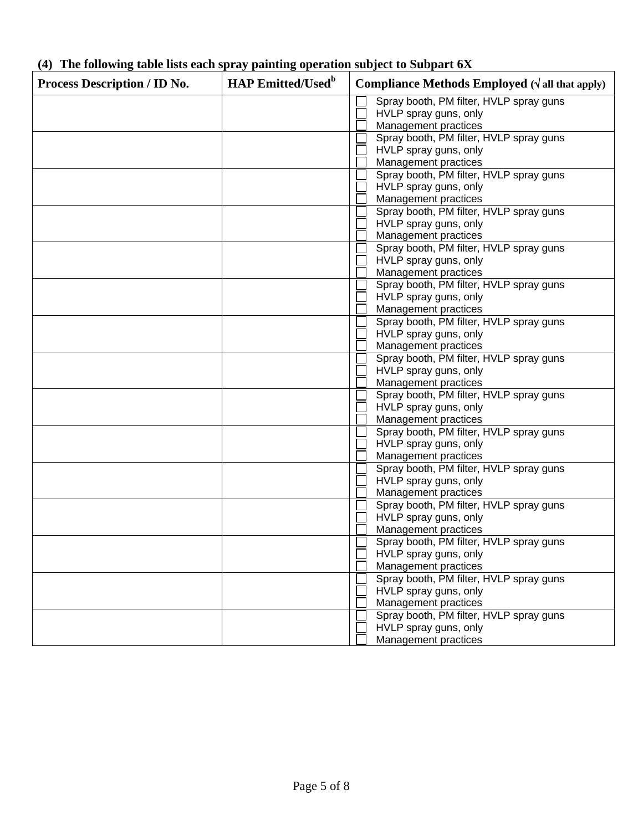| <b>Process Description / ID No.</b> | <b>HAP Emitted/Used</b> <sup>b</sup> | Compliance Methods Employed $(\sqrt{a}$ ll that apply) |  |
|-------------------------------------|--------------------------------------|--------------------------------------------------------|--|
|                                     |                                      | Spray booth, PM filter, HVLP spray guns                |  |
|                                     |                                      | HVLP spray guns, only                                  |  |
|                                     |                                      | Management practices                                   |  |
|                                     |                                      | Spray booth, PM filter, HVLP spray guns                |  |
|                                     |                                      | HVLP spray guns, only                                  |  |
|                                     |                                      | Management practices                                   |  |
|                                     |                                      | Spray booth, PM filter, HVLP spray guns                |  |
|                                     |                                      | HVLP spray guns, only                                  |  |
|                                     |                                      | Management practices                                   |  |
|                                     |                                      | Spray booth, PM filter, HVLP spray guns                |  |
|                                     |                                      | HVLP spray guns, only                                  |  |
|                                     |                                      | Management practices                                   |  |
|                                     |                                      | Spray booth, PM filter, HVLP spray guns                |  |
|                                     |                                      | HVLP spray guns, only                                  |  |
|                                     |                                      | Management practices                                   |  |
|                                     |                                      | Spray booth, PM filter, HVLP spray guns                |  |
|                                     |                                      | HVLP spray guns, only                                  |  |
|                                     |                                      | Management practices                                   |  |
|                                     |                                      | Spray booth, PM filter, HVLP spray guns                |  |
|                                     |                                      | HVLP spray guns, only                                  |  |
|                                     |                                      | Management practices                                   |  |
|                                     |                                      | Spray booth, PM filter, HVLP spray guns                |  |
|                                     |                                      | HVLP spray guns, only                                  |  |
|                                     |                                      | Management practices                                   |  |
|                                     |                                      | Spray booth, PM filter, HVLP spray guns                |  |
|                                     |                                      | HVLP spray guns, only                                  |  |
|                                     |                                      | Management practices                                   |  |
|                                     |                                      | Spray booth, PM filter, HVLP spray guns                |  |
|                                     |                                      | HVLP spray guns, only                                  |  |
|                                     |                                      | Management practices                                   |  |
|                                     |                                      | Spray booth, PM filter, HVLP spray guns                |  |
|                                     |                                      | HVLP spray guns, only                                  |  |
|                                     |                                      | Management practices                                   |  |
|                                     |                                      | Spray booth, PM filter, HVLP spray guns                |  |
|                                     |                                      | HVLP spray guns, only                                  |  |
|                                     |                                      | Management practices                                   |  |
|                                     |                                      | Spray booth, PM filter, HVLP spray guns                |  |
|                                     |                                      | HVLP spray guns, only                                  |  |
|                                     |                                      | Management practices                                   |  |
|                                     |                                      | Spray booth, PM filter, HVLP spray guns                |  |
|                                     |                                      | HVLP spray guns, only                                  |  |
|                                     |                                      | Management practices                                   |  |
|                                     |                                      | Spray booth, PM filter, HVLP spray guns                |  |
|                                     |                                      | HVLP spray guns, only                                  |  |
|                                     |                                      | Management practices                                   |  |

# **(4) The following table lists each spray painting operation subject to Subpart 6X**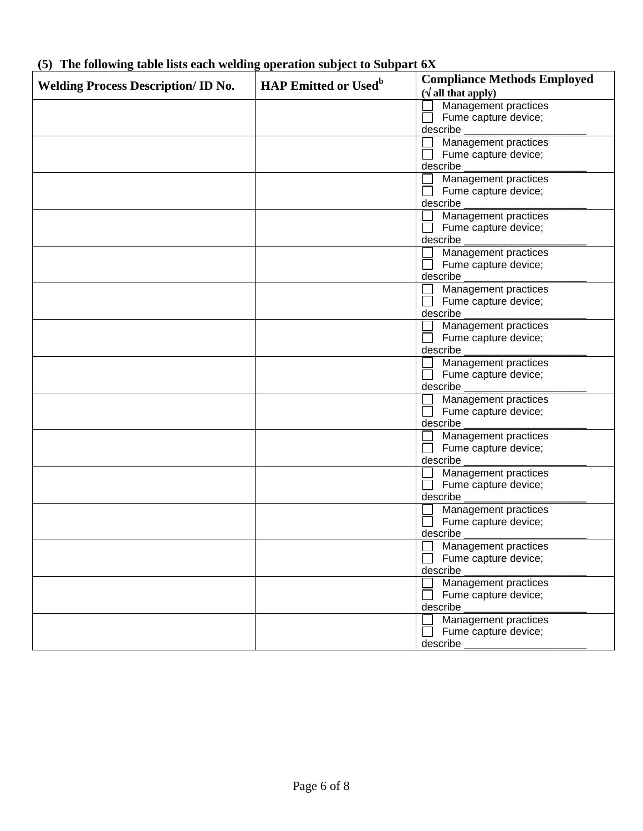| <b>Welding Process Description/ID No.</b> | <b>HAP Emitted or Used</b> <sup>b</sup> | <b>Compliance Methods Employed</b> |
|-------------------------------------------|-----------------------------------------|------------------------------------|
|                                           |                                         | $(\sqrt{\text{all that apply}})$   |
|                                           |                                         | Management practices               |
|                                           |                                         | Fume capture device;               |
|                                           |                                         | describe                           |
|                                           |                                         | Management practices               |
|                                           |                                         | Fume capture device;               |
|                                           |                                         | describe                           |
|                                           |                                         | Management practices               |
|                                           |                                         | Fume capture device;               |
|                                           |                                         | describe                           |
|                                           |                                         | Management practices               |
|                                           |                                         | Fume capture device;               |
|                                           |                                         | describe                           |
|                                           |                                         | Management practices               |
|                                           |                                         | Fume capture device;               |
|                                           |                                         | describe                           |
|                                           |                                         | Management practices               |
|                                           |                                         | Fume capture device;               |
|                                           |                                         | describe                           |
|                                           |                                         | Management practices               |
|                                           |                                         | Fume capture device;               |
|                                           |                                         | describe                           |
|                                           |                                         | Management practices               |
|                                           |                                         | Fume capture device;               |
|                                           |                                         | describe                           |
|                                           |                                         | Management practices               |
|                                           |                                         | Fume capture device;               |
|                                           |                                         | describe                           |
|                                           |                                         | Management practices               |
|                                           |                                         | Fume capture device;               |
|                                           |                                         | describe                           |
|                                           |                                         | Management practices               |
|                                           |                                         |                                    |
|                                           |                                         | Fume capture device;               |
|                                           |                                         | describe                           |
|                                           |                                         | Management practices               |
|                                           |                                         | Fume capture device;               |
|                                           |                                         | describe                           |
|                                           |                                         | Management practices               |
|                                           |                                         | Fume capture device;               |
|                                           |                                         | describe                           |
|                                           |                                         | Management practices               |
|                                           |                                         | Fume capture device;               |
|                                           |                                         | describe                           |
|                                           |                                         | Management practices               |
|                                           |                                         | Fume capture device;               |
|                                           |                                         | describe                           |

# **(5) The following table lists each welding operation subject to Subpart 6X**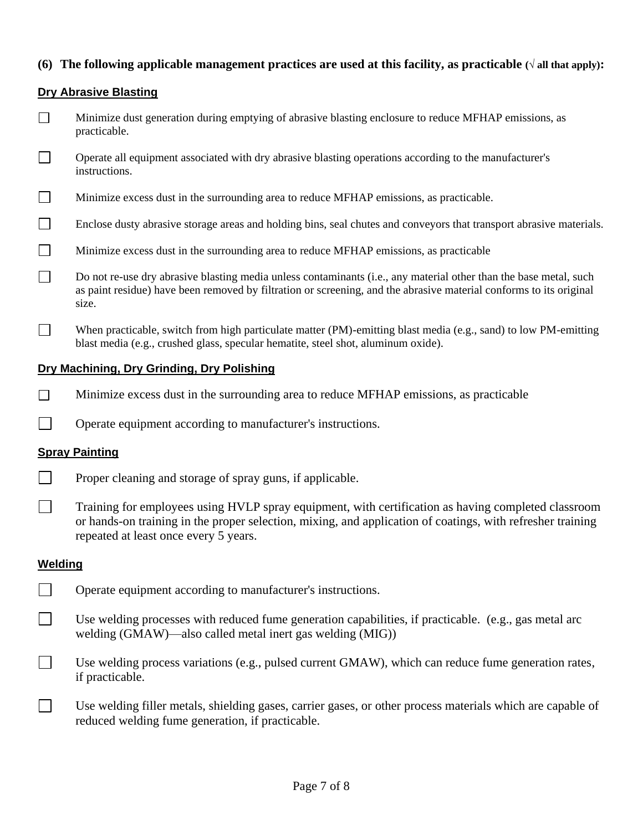# **(6)** The following applicable management practices are used at this facility, as practicable  $(\sqrt{\text{all that apply}})$ :

# **Dry Abrasive Blasting**

- $\Box$ Minimize dust generation during emptying of abrasive blasting enclosure to reduce MFHAP emissions, as practicable.
- $\Box$ Operate all equipment associated with dry abrasive blasting operations according to the manufacturer's instructions.
- $\Box$ Minimize excess dust in the surrounding area to reduce MFHAP emissions, as practicable.
- $\Box$ Enclose dusty abrasive storage areas and holding bins, seal chutes and conveyors that transport abrasive materials.
- $\Box$ Minimize excess dust in the surrounding area to reduce MFHAP emissions, as practicable
- $\Box$ Do not re-use dry abrasive blasting media unless contaminants (i.e., any material other than the base metal, such as paint residue) have been removed by filtration or screening, and the abrasive material conforms to its original size.
- $\Box$ When practicable, switch from high particulate matter (PM)-emitting blast media (e.g., sand) to low PM-emitting blast media (e.g., crushed glass, specular hematite, steel shot, aluminum oxide).

# **Dry Machining, Dry Grinding, Dry Polishing**

- $\Box$ Minimize excess dust in the surrounding area to reduce MFHAP emissions, as practicable
- $\perp$ Operate equipment according to manufacturer's instructions.

#### **Spray Painting**

- $\Box$ Proper cleaning and storage of spray guns, if applicable.
- $\Box$ Training for employees using HVLP spray equipment, with certification as having completed classroom or hands-on training in the proper selection, mixing, and application of coatings, with refresher training repeated at least once every 5 years.

#### **Welding**

- $\Box$ Operate equipment according to manufacturer's instructions.
- $\Box$ Use welding processes with reduced fume generation capabilities, if practicable. (e.g., gas metal arc welding (GMAW)—also called metal inert gas welding (MIG))
- $\Box$ Use welding process variations (e.g., pulsed current GMAW), which can reduce fume generation rates, if practicable.
- $\Box$ Use welding filler metals, shielding gases, carrier gases, or other process materials which are capable of reduced welding fume generation, if practicable.